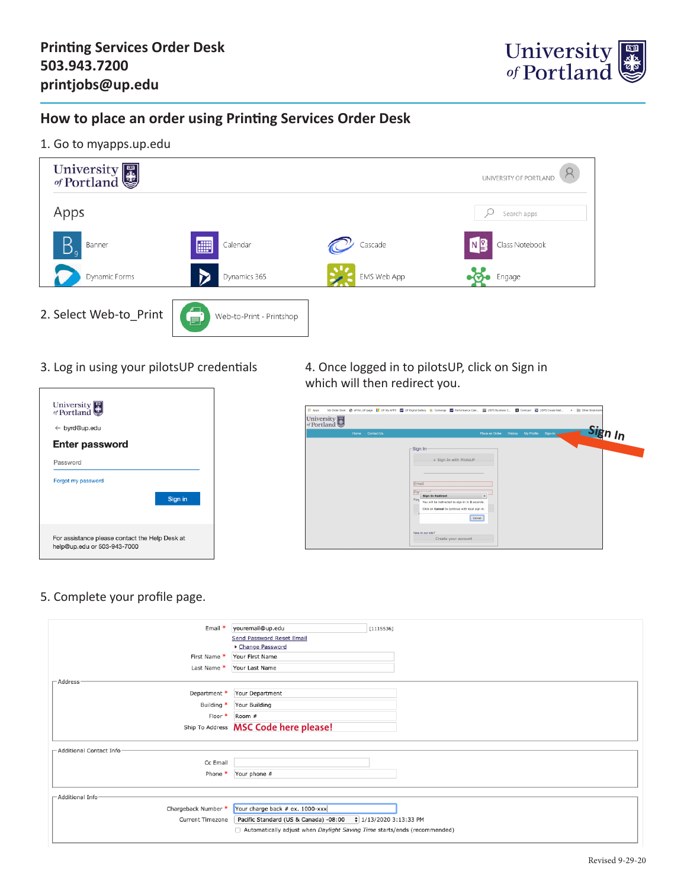

## **How to place an order using Printing Services Order Desk**

1. Go to myapps.up.edu



| University                                                                    |
|-------------------------------------------------------------------------------|
| $\leftarrow$ byrd@up.edu                                                      |
| <b>Enter password</b>                                                         |
| Password                                                                      |
| Forgot my password                                                            |
| Sign in                                                                       |
| For assistance please contact the Help Desk at<br>help@up.edu or 503-943-7000 |

### 3. Log in using your pilotsUP credentials 4. Once logged in to pilotsUP, click on Sign in which will then redirect you.

| -Sign In-<br>a Sign In with PilotsUP<br>Email<br>Parmond<br><b>Sign In Redirect</b><br>Ford<br>$\Box$ | Place an Order<br><b>History</b><br>$\mathbf{x}$ | My Profile<br>Sign-In                                                                                        | Sio |
|-------------------------------------------------------------------------------------------------------|--------------------------------------------------|--------------------------------------------------------------------------------------------------------------|-----|
|                                                                                                       | New to our site?<br>Create your account          | You will be redirected to sign-in in 2 seconds.<br>Click on Cancel to continue with local sign in.<br>Cancel |     |

5. Complete your profile page.

| Email *                    | youremail@up.edu                                                         | [1115536]              |
|----------------------------|--------------------------------------------------------------------------|------------------------|
|                            | <b>Send Password Reset Email</b>                                         |                        |
|                            | ▶ Change Password                                                        |                        |
| First Name *               | Your First Name                                                          |                        |
| Last Name *                | Your Last Name                                                           |                        |
| $\Gamma$ Address           |                                                                          |                        |
| Department *               | Your Department                                                          |                        |
| Building *                 | Your Building                                                            |                        |
| Floor *                    | Room #                                                                   |                        |
|                            | Ship To Address MSC Code here please!                                    |                        |
|                            |                                                                          |                        |
| - Additional Contact Infor |                                                                          |                        |
| Cc Email                   |                                                                          |                        |
|                            |                                                                          |                        |
| Phone *                    | Your phone #                                                             |                        |
|                            |                                                                          |                        |
| -Additional Infor          |                                                                          |                        |
| Chargeback Number *        | Your charge back # ex. 1000-xxx                                          |                        |
| <b>Current Timezone</b>    | Pacific Standard (US & Canada) -08:00                                    | $ 1/13/20203:13:33$ PM |
|                            | Automatically adjust when Daylight Saving Time starts/ends (recommended) |                        |
|                            |                                                                          |                        |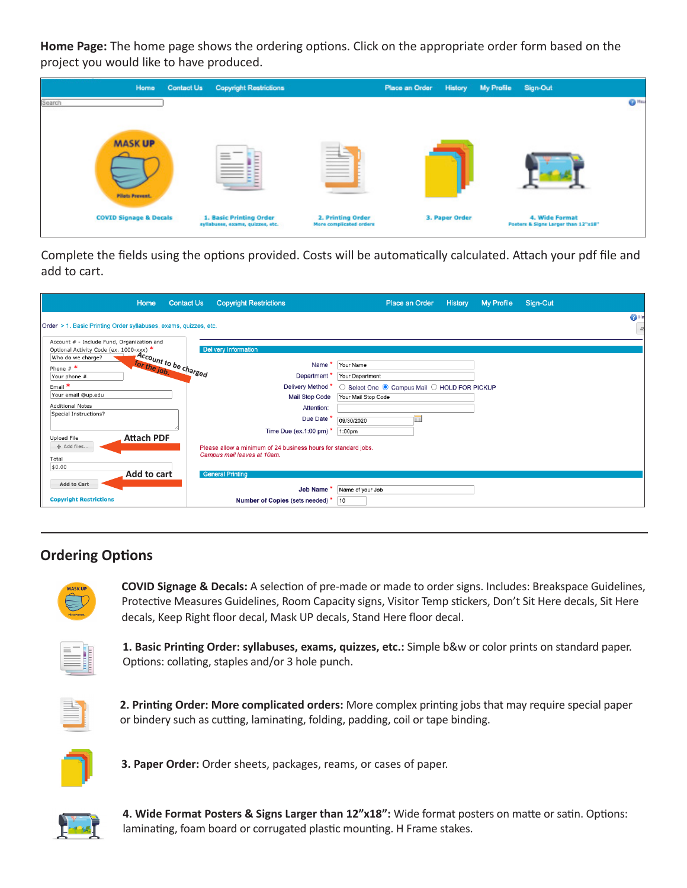**Home Page:** The home page shows the ordering options. Click on the appropriate order form based on the project you would like to have produced.

| Home                              | <b>Contact Us Copyright Restrictions</b>                    |                                              | Place an Order History My Profile Sign-Out |                |                                                       |                |
|-----------------------------------|-------------------------------------------------------------|----------------------------------------------|--------------------------------------------|----------------|-------------------------------------------------------|----------------|
| Search                            |                                                             |                                              |                                            |                |                                                       | 6 <sup>1</sup> |
|                                   |                                                             |                                              |                                            |                |                                                       |                |
| <b>MASKUP</b>                     |                                                             | <b>STATISTICS</b>                            |                                            |                |                                                       |                |
|                                   | $-$<br>$\frac{1}{2}$<br>-                                   | Ë                                            |                                            |                |                                                       |                |
|                                   |                                                             |                                              |                                            |                |                                                       |                |
| <b>Pilots Prevent.</b>            |                                                             |                                              |                                            |                |                                                       |                |
|                                   |                                                             |                                              |                                            |                |                                                       |                |
| <b>COVID Signage &amp; Decals</b> | 1. Basic Printing Order<br>syllabuses, exams, quizzes, etc. | 2. Printing Order<br>More complicated orders |                                            | 3. Paper Order | 4. Wide Format<br>Posters & Signs Larger than 12"x18" |                |

Complete the fields using the options provided. Costs will be automatically calculated. Attach your pdf file and add to cart.

| Home                                                                                  | <b>Contact Us</b><br><b>Copyright Restrictions</b>             | Place an Order<br>History<br>My Profile<br>Sign-Out             |
|---------------------------------------------------------------------------------------|----------------------------------------------------------------|-----------------------------------------------------------------|
| Order > 1. Basic Printing Order syllabuses, exams, quizzes, etc.                      |                                                                | <b>OHE</b><br>$\Box$                                            |
| Account # - Include Fund, Organization and<br>Optional Activity Code (ex. 1000-xxx) * | <b>Delivery Information</b>                                    |                                                                 |
| Account to be charged<br>Who do we charge?<br>Phone $#$ *                             | Name                                                           | Your Name                                                       |
| Your phone #.<br>Email *                                                              | Department <sup>1</sup><br>Delivery Method *                   | Your Department<br>○ Select One ● Campus Mail ○ HOLD FOR PICKUP |
| Your email @up.edu<br><b>Additional Notes</b>                                         | <b>Mail Stop Code</b><br>Attention:                            | Your Mail Stop Code                                             |
| Special Instructions?                                                                 | Due Date *<br>Time Due (ex.1:00 pm) $*$                        | m<br>09/30/2020<br>1:00pm                                       |
| <b>Attach PDF</b><br>Upload File<br>+ Add files                                       | Please allow a minimum of 24 business hours for standard jobs. |                                                                 |
| Total<br>\$0.00                                                                       | Campus mail leaves at 10am.                                    |                                                                 |
| Add to cart<br><b>Add to Cart</b>                                                     | <b>General Printing</b><br>Job Name *                          |                                                                 |
| <b>Copyright Restrictions</b>                                                         | Number of Copies (sets needed) *                               | Name of your Job<br>10                                          |

# **Ordering Options**

| <b>MASK UP</b>         |
|------------------------|
|                        |
| <b>Pilots Provent.</b> |

**COVID Signage & Decals:** A selection of pre-made or made to order signs. Includes: Breakspace Guidelines, Protective Measures Guidelines, Room Capacity signs, Visitor Temp stickers, Don't Sit Here decals, Sit Here decals, Keep Right floor decal, Mask UP decals, Stand Here floor decal.



**1. Basic Printing Order: syllabuses, exams, quizzes, etc.:** Simple b&w or color prints on standard paper. Options: collating, staples and/or 3 hole punch.



**2. Printing Order: More complicated orders:** More complex printing jobs that may require special paper or bindery such as cutting, laminating, folding, padding, coil or tape binding.



**3. Paper Order:** Order sheets, packages, reams, or cases of paper.



**4. Wide Format Posters & Signs Larger than 12"x18":** Wide format posters on matte or satin. Options: laminating, foam board or corrugated plastic mounting. H Frame stakes.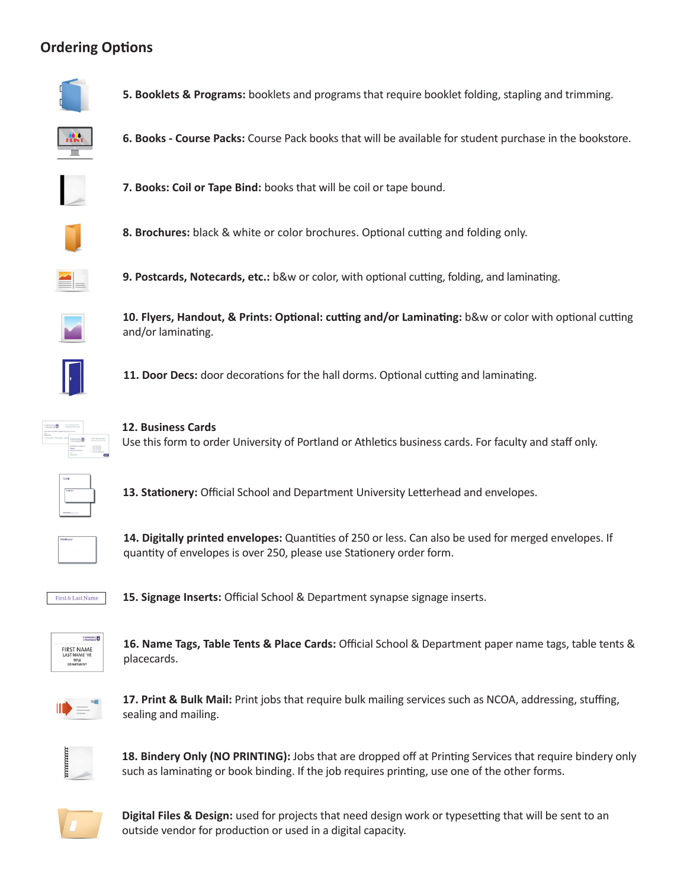# **Ordering Options**



**5. Booklets & Programs:** booklets and programs that require booklet folding, stapling and trimming.



**6. Books - Course Packs:** Course Pack books that will be available for student purchase in the bookstore.



**7. Books: Coil or Tape Bind:** books that will be coil or tape bound.



**8. Brochures:** black & white or color brochures. Optional cutting and folding only.



**9. Postcards, Notecards, etc.:** b&w or color, with optional cutting, folding, and laminating.



**10. Flyers, Handout, & Prints: Optional: cutting and/or Laminating:** b&w or color with optional cutting and/or laminating.



**11. Door Decs:** door decorations for the hall dorms. Optional cutting and laminating.



**12. Business Cards** Use this form to order University of Portland or Athletics business cards. For faculty and staff only.



**13. Stationery:** Official School and Department University Letterhead and envelopes.



**14. Digitally printed envelopes:** Quantities of 250 or less. Can also be used for merged envelopes. If quantity of envelopes is over 250, please use Stationery order form.



**15. Signage Inserts:** Official School & Department synapse signage inserts.

| "Portland            |
|----------------------|
| <b>FIRST NAME</b>    |
| <b>LAST NAME 'YR</b> |
| TITLE                |
| DEPARTMENT           |

**16. Name Tags, Table Tents & Place Cards:** Official School & Department paper name tags, table tents & placecards.



**17. Print & Bulk Mail:** Print jobs that require bulk mailing services such as NCOA, addressing, stuffing, sealing and mailing.



**18. Bindery Only (NO PRINTING):** Jobs that are dropped off at Printing Services that require bindery only such as laminating or book binding. If the job requires printing, use one of the other forms.



**Digital Files & Design:** used for projects that need design work or typesetting that will be sent to an outside vendor for production or used in a digital capacity.